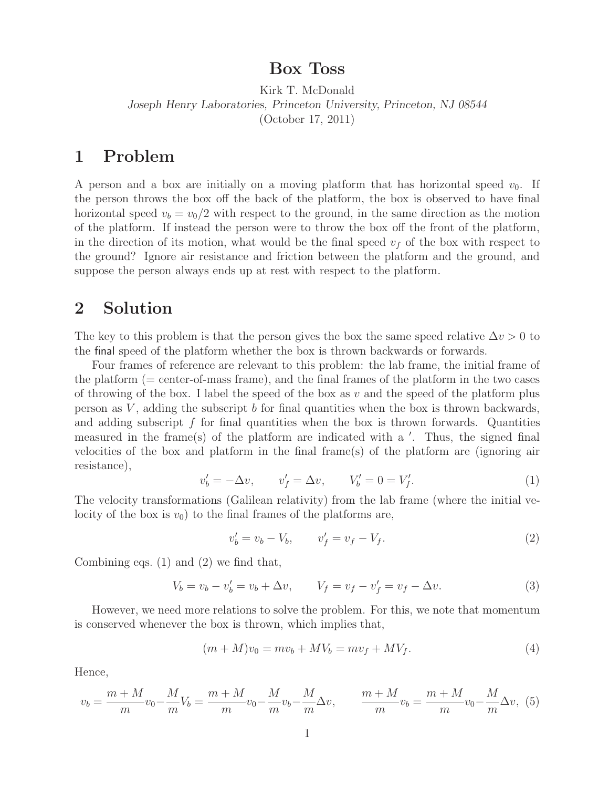## **Box Toss**

Kirk T. McDonald *Joseph Henry Laboratories, Princeton University, Princeton, NJ 08544* (October 17, 2011)

## **1 Problem**

A person and a box are initially on a moving platform that has horizontal speed  $v_0$ . If the person throws the box off the back of the platform, the box is observed to have final horizontal speed  $v_b = v_0/2$  with respect to the ground, in the same direction as the motion of the platform. If instead the person were to throw the box off the front of the platform, in the direction of its motion, what would be the final speed  $v_f$  of the box with respect to the ground? Ignore air resistance and friction between the platform and the ground, and suppose the person always ends up at rest with respect to the platform.

## **2 Solution**

The key to this problem is that the person gives the box the same speed relative  $\Delta v > 0$  to the final speed of the platform whether the box is thrown backwards or forwards.

Four frames of reference are relevant to this problem: the lab frame, the initial frame of the platform (= center-of-mass frame), and the final frames of the platform in the two cases of throwing of the box. I label the speed of the box as  $v$  and the speed of the platform plus person as *V* , adding the subscript *b* for final quantities when the box is thrown backwards, and adding subscript *f* for final quantities when the box is thrown forwards. Quantities measured in the frame(s) of the platform are indicated with a '. Thus, the signed final velocities of the box and platform in the final frame(s) of the platform are (ignoring air resistance),

$$
v'_{b} = -\Delta v, \qquad v'_{f} = \Delta v, \qquad V'_{b} = 0 = V'_{f}.
$$
 (1)

The velocity transformations (Galilean relativity) from the lab frame (where the initial velocity of the box is  $v_0$ ) to the final frames of the platforms are,

$$
v'_b = v_b - V_b, \qquad v'_f = v_f - V_f. \tag{2}
$$

Combining eqs. (1) and (2) we find that,

$$
V_b = v_b - v'_b = v_b + \Delta v, \qquad V_f = v_f - v'_f = v_f - \Delta v.
$$
 (3)

However, we need more relations to solve the problem. For this, we note that momentum is conserved whenever the box is thrown, which implies that,

$$
(m+M)v_0 = mv_b + MV_b = mv_f + MV_f.
$$
\n(4)

Hence,

$$
v_b = \frac{m+M}{m}v_0 - \frac{M}{m}V_b = \frac{m+M}{m}v_0 - \frac{M}{m}v_b - \frac{M}{m}\Delta v, \qquad \frac{m+M}{m}v_b = \frac{m+M}{m}v_0 - \frac{M}{m}\Delta v, \tag{5}
$$